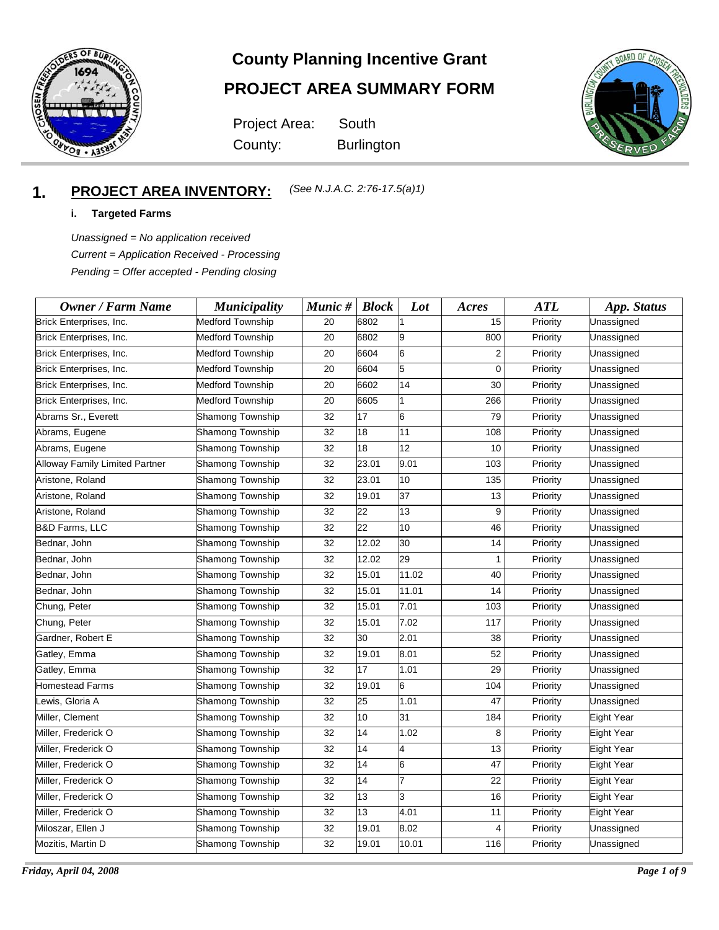

## **County Planning Incentive Grant**

# **PROJECT AREA SUMMARY FORM**

Project Area: County: Burlington

**South** 



#### **1. PROJECT AREA INVENTORY:** *(See N.J.A.C. 2:76-17.5(a)1)*

#### **i. Targeted Farms**

*Unassigned = No application received Current = Application Received - Processing Pending = Offer accepted - Pending closing*

| <b>Owner / Farm Name</b>       | <b>Municipality</b>     | Munic # | <b>Block</b>    | Lot   | Acres | <b>ATL</b> | App. Status |
|--------------------------------|-------------------------|---------|-----------------|-------|-------|------------|-------------|
| Brick Enterprises, Inc.        | <b>Medford Township</b> | 20      | 6802            |       | 15    | Priority   | Unassigned  |
| Brick Enterprises, Inc.        | <b>Medford Township</b> | 20      | 6802            | 9     | 800   | Priority   | Unassigned  |
| Brick Enterprises, Inc.        | <b>Medford Township</b> | 20      | 6604            | 6     | 2     | Priority   | Unassigned  |
| Brick Enterprises, Inc.        | <b>Medford Township</b> | 20      | 6604            | 5     | 0     | Priority   | Unassigned  |
| Brick Enterprises, Inc.        | <b>Medford Township</b> | 20      | 6602            | 14    | 30    | Priority   | Unassigned  |
| Brick Enterprises, Inc.        | <b>Medford Township</b> | 20      | 6605            |       | 266   | Priority   | Unassigned  |
| Abrams Sr., Everett            | Shamong Township        | 32      | 17              | 6     | 79    | Priority   | Unassigned  |
| Abrams, Eugene                 | Shamong Township        | 32      | 18              | 11    | 108   | Priority   | Unassigned  |
| Abrams, Eugene                 | Shamong Township        | 32      | 18              | 12    | 10    | Priority   | Unassigned  |
| Alloway Family Limited Partner | Shamong Township        | 32      | 23.01           | 9.01  | 103   | Priority   | Unassigned  |
| Aristone, Roland               | Shamong Township        | 32      | 23.01           | 10    | 135   | Priority   | Unassigned  |
| Aristone, Roland               | Shamong Township        | 32      | 19.01           | 37    | 13    | Priority   | Unassigned  |
| Aristone, Roland               | Shamong Township        | 32      | 22              | 13    | 9     | Priority   | Unassigned  |
| <b>B&amp;D Farms, LLC</b>      | Shamong Township        | 32      | $\overline{22}$ | 10    | 46    | Priority   | Unassigned  |
| Bednar, John                   | Shamong Township        | 32      | 12.02           | 30    | 14    | Priority   | Unassigned  |
| Bednar, John                   | Shamong Township        | 32      | 12.02           | 29    | 1     | Priority   | Unassigned  |
| Bednar, John                   | Shamong Township        | 32      | 15.01           | 11.02 | 40    | Priority   | Unassigned  |
| Bednar, John                   | Shamong Township        | 32      | 15.01           | 11.01 | 14    | Priority   | Unassigned  |
| Chung, Peter                   | Shamong Township        | 32      | 15.01           | 7.01  | 103   | Priority   | Unassigned  |
| Chung, Peter                   | Shamong Township        | 32      | 15.01           | 7.02  | 117   | Priority   | Unassigned  |
| Gardner, Robert E              | Shamong Township        | 32      | 30              | 2.01  | 38    | Priority   | Unassigned  |
| Gatley, Emma                   | Shamong Township        | 32      | 19.01           | 8.01  | 52    | Priority   | Unassigned  |
| Gatley, Emma                   | Shamong Township        | 32      | 17              | 1.01  | 29    | Priority   | Unassigned  |
| <b>Homestead Farms</b>         | Shamong Township        | 32      | 19.01           | 6     | 104   | Priority   | Unassigned  |
| Lewis, Gloria A                | Shamong Township        | 32      | 25              | 1.01  | 47    | Priority   | Unassigned  |
| Miller, Clement                | Shamong Township        | 32      | 10              | 31    | 184   | Priority   | Eight Year  |
| Miller, Frederick O            | Shamong Township        | 32      | 14              | 1.02  | 8     | Priority   | Eight Year  |
| Miller, Frederick O            | Shamong Township        | 32      | 14              | 4     | 13    | Priority   | Eight Year  |
| Miller, Frederick O            | Shamong Township        | 32      | 14              | 6     | 47    | Priority   | Eight Year  |
| Miller, Frederick O            | Shamong Township        | 32      | 14              | 17    | 22    | Priority   | Eight Year  |
| Miller, Frederick O            | Shamong Township        | 32      | 13              | 3     | 16    | Priority   | Eight Year  |
| Miller, Frederick O            | Shamong Township        | 32      | 13              | 4.01  | 11    | Priority   | Eight Year  |
| Miloszar, Ellen J              | Shamong Township        | 32      | 19.01           | 8.02  | 4     | Priority   | Unassigned  |
| Mozitis, Martin D              | Shamong Township        | 32      | 19.01           | 10.01 | 116   | Priority   | Unassigned  |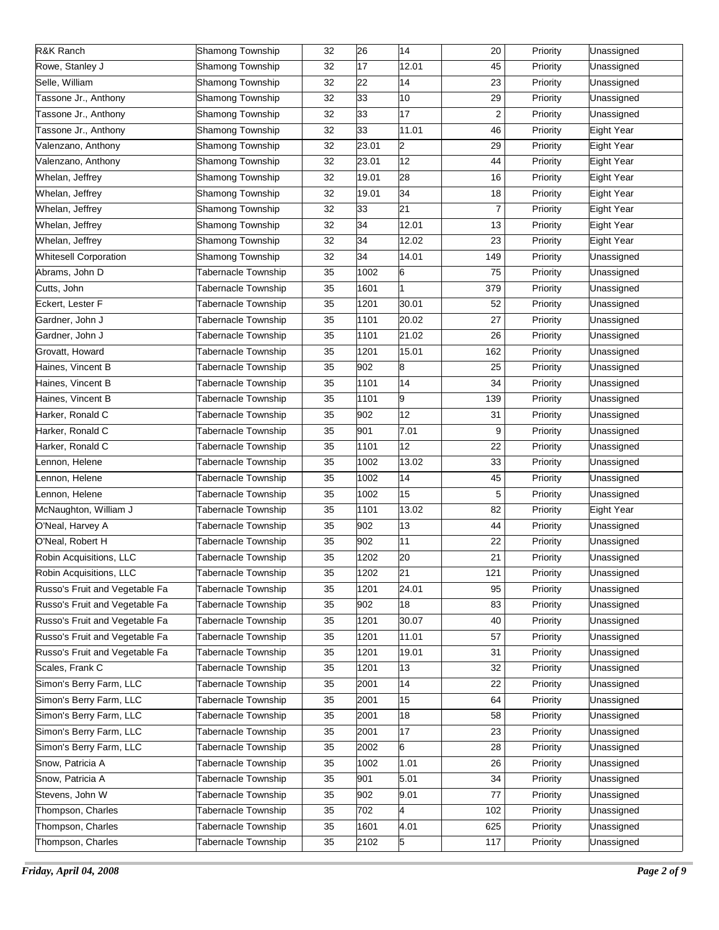| R&K Ranch                      | Shamong Township           | 32 | 26    | 14    | 20               | Priority | Unassigned        |
|--------------------------------|----------------------------|----|-------|-------|------------------|----------|-------------------|
| Rowe, Stanley J                | <b>Shamong Township</b>    | 32 | 17    | 12.01 | 45               | Priority | Unassigned        |
| Selle, William                 | Shamong Township           | 32 | 22    | 14    | 23               | Priority | Unassigned        |
| Tassone Jr., Anthony           | Shamong Township           | 32 | 33    | 10    | 29               | Priority | Unassigned        |
| Tassone Jr., Anthony           | Shamong Township           | 32 | 33    | 17    | $\boldsymbol{2}$ | Priority | Unassigned        |
| Tassone Jr., Anthony           | <b>Shamong Township</b>    | 32 | 33    | 11.01 | 46               | Priority | Eight Year        |
| Valenzano, Anthony             | <b>Shamong Township</b>    | 32 | 23.01 | 2     | 29               | Priority | Eight Year        |
| Valenzano, Anthony             | <b>Shamong Township</b>    | 32 | 23.01 | 12    | 44               | Priority | Eight Year        |
| Whelan, Jeffrey                | Shamong Township           | 32 | 19.01 | 28    | 16               | Priority | Eight Year        |
| Whelan, Jeffrey                | <b>Shamong Township</b>    | 32 | 19.01 | 34    | 18               | Priority | <b>Eight Year</b> |
| Whelan, Jeffrey                | <b>Shamong Township</b>    | 32 | 33    | 21    | $\overline{7}$   | Priority | Eight Year        |
| Whelan, Jeffrey                | Shamong Township           | 32 | 34    | 12.01 | 13               | Priority | Eight Year        |
| Whelan, Jeffrey                | Shamong Township           | 32 | 34    | 12.02 | 23               | Priority | Eight Year        |
| <b>Whitesell Corporation</b>   | Shamong Township           | 32 | 34    | 14.01 | 149              | Priority | Unassigned        |
| Abrams, John D                 | <b>Tabernacle Township</b> | 35 | 1002  | 6     | 75               | Priority | Unassigned        |
| Cutts, John                    | <b>Tabernacle Township</b> | 35 | 1601  |       | 379              | Priority | Unassigned        |
| Eckert, Lester F               | <b>Tabernacle Township</b> | 35 | 1201  | 30.01 | 52               | Priority | Unassigned        |
| Gardner, John J                | <b>Tabernacle Township</b> | 35 | 1101  | 20.02 | 27               | Priority | Unassigned        |
| Gardner, John J                | <b>Tabernacle Township</b> | 35 | 1101  | 21.02 | 26               | Priority | Unassigned        |
| Grovatt, Howard                | <b>Tabernacle Township</b> | 35 | 1201  | 15.01 | 162              | Priority | Unassigned        |
| Haines, Vincent B              | <b>Tabernacle Township</b> | 35 | 902   | 8     | 25               | Priority | Unassigned        |
| Haines, Vincent B              | <b>Tabernacle Township</b> | 35 | 1101  | 14    | 34               | Priority | Unassigned        |
| Haines, Vincent B              | <b>Tabernacle Township</b> | 35 | 1101  | 9     | 139              | Priority | Unassigned        |
| Harker, Ronald C               | <b>Tabernacle Township</b> | 35 | 902   | 12    | 31               | Priority | Unassigned        |
| Harker, Ronald C               | <b>Tabernacle Township</b> | 35 | 901   | 7.01  | 9                | Priority | Unassigned        |
| Harker, Ronald C               | <b>Tabernacle Township</b> | 35 | 1101  | 12    | 22               | Priority | Unassigned        |
| Lennon, Helene                 | <b>Tabernacle Township</b> | 35 | 1002  | 13.02 | 33               | Priority | Unassigned        |
| Lennon, Helene                 | <b>Tabernacle Township</b> | 35 | 1002  | 14    | 45               | Priority | Unassigned        |
| Lennon, Helene                 | <b>Tabernacle Township</b> | 35 | 1002  | 15    | 5                | Priority | Unassigned        |
| McNaughton, William J          | <b>Tabernacle Township</b> | 35 | 1101  | 13.02 | 82               | Priority | Eight Year        |
| O'Neal, Harvey A               | <b>Tabernacle Township</b> | 35 | 902   | 13    | 44               | Priority | Unassigned        |
| O'Neal, Robert H               | <b>Tabernacle Township</b> | 35 | 902   | 11    | 22               | Priority | Unassigned        |
| Robin Acquisitions, LLC        | <b>Tabernacle Township</b> | 35 | 1202  | 20    | 21               | Priority | Unassigned        |
| Robin Acquisitions, LLC        | Tabernacle Township        | 35 | 1202  | 21    | 121              | Priority | Unassigned        |
| Russo's Fruit and Vegetable Fa | Tabernacle Township        | 35 | 1201  | 24.01 | 95               | Priority | Unassigned        |
| Russo's Fruit and Vegetable Fa | <b>Tabernacle Township</b> |    |       | 18    |                  |          | Unassigned        |
|                                |                            | 35 | 902   |       | 83               | Priority |                   |
| Russo's Fruit and Vegetable Fa | Tabernacle Township        | 35 | 1201  | 30.07 | 40               | Priority | Unassigned        |
| Russo's Fruit and Vegetable Fa | Tabernacle Township        | 35 | 1201  | 11.01 | 57               | Priority | Unassigned        |
| Russo's Fruit and Vegetable Fa | Tabernacle Township        | 35 | 1201  | 19.01 | 31               | Priority | Unassigned        |
| Scales, Frank C                | Tabernacle Township        | 35 | 1201  | 13    | 32               | Priority | Unassigned        |
| Simon's Berry Farm, LLC        | Tabernacle Township        | 35 | 2001  | 14    | 22               | Priority | Unassigned        |
| Simon's Berry Farm, LLC        | Tabernacle Township        | 35 | 2001  | 15    | 64               | Priority | Unassigned        |
| Simon's Berry Farm, LLC        | Tabernacle Township        | 35 | 2001  | 18    | 58               | Priority | Unassigned        |
| Simon's Berry Farm, LLC        | Tabernacle Township        | 35 | 2001  | 17    | 23               | Priority | Unassigned        |
| Simon's Berry Farm, LLC        | Tabernacle Township        | 35 | 2002  | 6     | 28               | Priority | Unassigned        |
| Snow, Patricia A               | Tabernacle Township        | 35 | 1002  | 1.01  | 26               | Priority | Unassigned        |
| Snow, Patricia A               | Tabernacle Township        | 35 | 901   | 5.01  | 34               | Priority | Unassigned        |
| Stevens, John W                | Tabernacle Township        | 35 | 902   | 9.01  | 77               | Priority | Unassigned        |
| Thompson, Charles              | Tabernacle Township        | 35 | 702   | 4     | 102              | Priority | Unassigned        |
| Thompson, Charles              | Tabernacle Township        | 35 | 1601  | 4.01  | 625              | Priority | Unassigned        |
| Thompson, Charles              | Tabernacle Township        | 35 | 2102  | 5     | 117              | Priority | Unassigned        |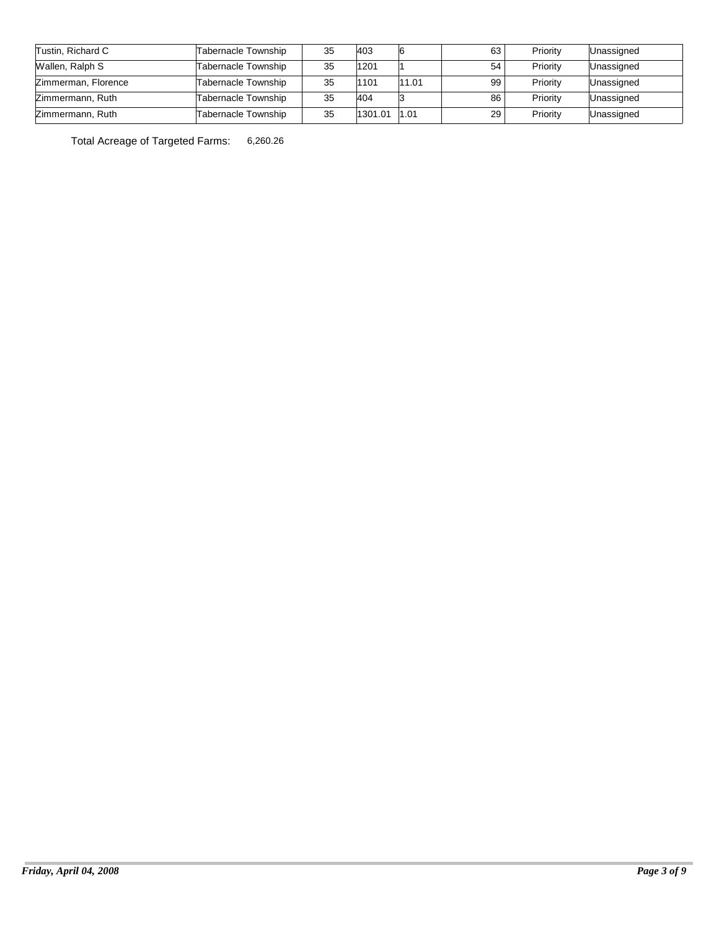| Tustin, Richard C   | Tabernacle Township | 35 | 403     |       | 63 | Priority | Unassigned |
|---------------------|---------------------|----|---------|-------|----|----------|------------|
| Wallen, Ralph S     | Tabernacle Township | 35 | 1201    |       | 54 | Priority | Unassigned |
| Zimmerman, Florence | Tabernacle Township | 35 | 1101    | 11.01 | 99 | Priority | Unassigned |
| Zimmermann, Ruth    | Tabernacle Township | 35 | 404     |       | 86 | Priority | Unassigned |
| Zimmermann, Ruth    | Tabernacle Township | 35 | 1301.01 | 1.01  | 29 | Priority | Unassigned |

Total Acreage of Targeted Farms: 6,260.26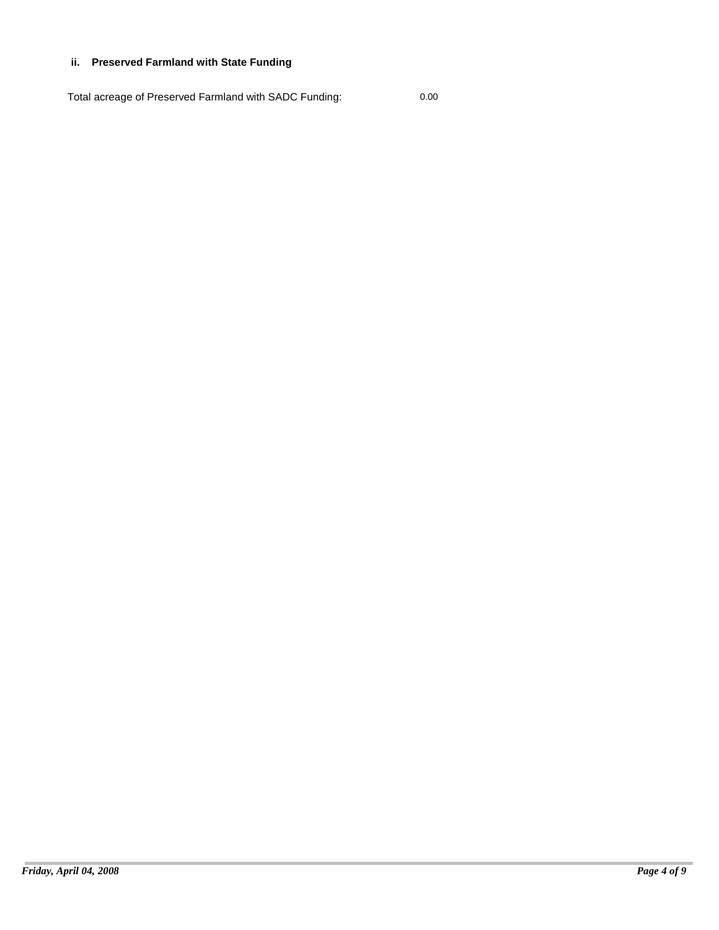### **ii. Preserved Farmland with State Funding**

Total acreage of Preserved Farmland with SADC Funding: 0.00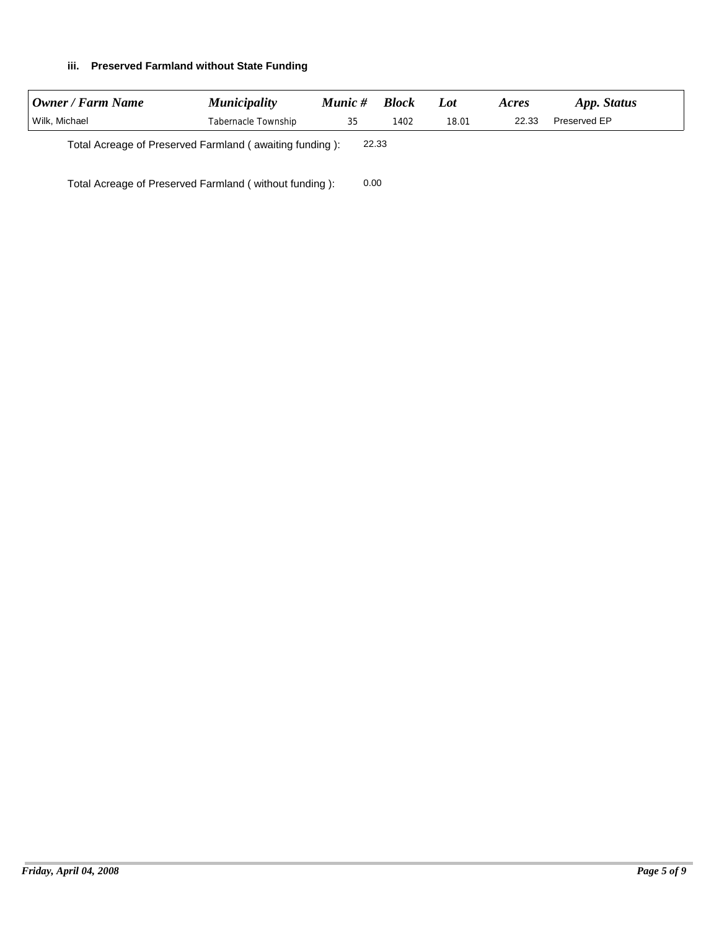### **iii. Preserved Farmland without State Funding**

| Owner / Farm Name                                                | <i>Municipality</i> | Munic # | <b>Block</b> | Lot   | Acres | App. Status  |
|------------------------------------------------------------------|---------------------|---------|--------------|-------|-------|--------------|
| Wilk, Michael                                                    | Tabernacle Township | 35      | 1402         | 18.01 | 22.33 | Preserved EP |
| Total Acreage of Preserved Farmland (awaiting funding):<br>22.33 |                     |         |              |       |       |              |

Total Acreage of Preserved Farmland ( without funding ): 0.00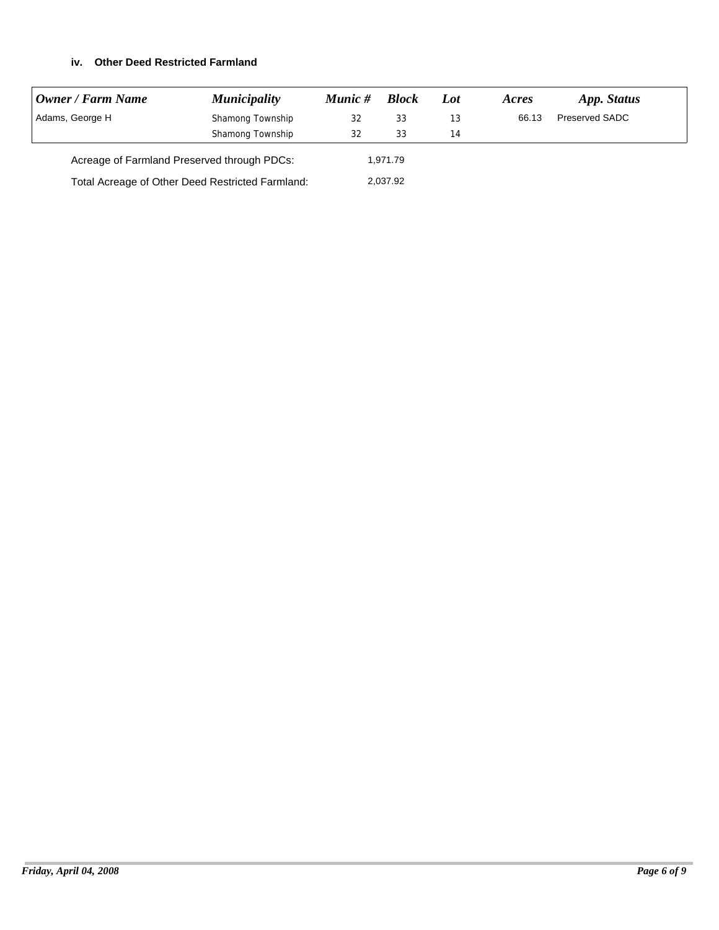### **iv. Other Deed Restricted Farmland**

| Owner / Farm Name                                | <b>Municipality</b> | Munic # | <b>Block</b> | Lot | Acres | App. Status    |
|--------------------------------------------------|---------------------|---------|--------------|-----|-------|----------------|
| Adams, George H                                  | Shamong Township    | 32      | 33           | 13  | 66.13 | Preserved SADC |
|                                                  | Shamong Township    | 32      | 33           | 14  |       |                |
| Acreage of Farmland Preserved through PDCs:      |                     |         | 1.971.79     |     |       |                |
| Total Acreage of Other Deed Restricted Farmland: |                     |         | 2,037.92     |     |       |                |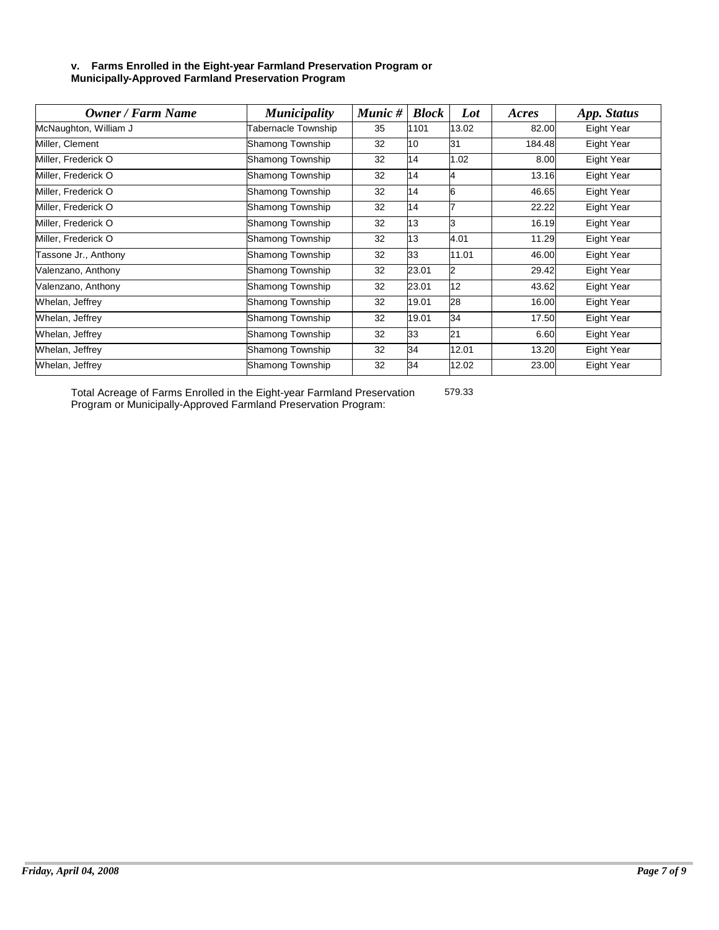#### **v. Farms Enrolled in the Eight-year Farmland Preservation Program or Municipally-Approved Farmland Preservation Program**

| <b>Owner / Farm Name</b> | <b>Municipality</b>        | Munic # | <b>Block</b> | Lot   | Acres  | App. Status |
|--------------------------|----------------------------|---------|--------------|-------|--------|-------------|
| McNaughton, William J    | <b>Fabernacle Township</b> | 35      | 1101         | 13.02 | 82.00  | Eight Year  |
| Miller, Clement          | Shamong Township           | 32      | 10           | 31    | 184.48 | Eight Year  |
| Miller, Frederick O      | Shamong Township           | 32      | 14           | 1.02  | 8.00   | Eight Year  |
| Miller, Frederick O      | Shamong Township           | 32      | 14           | 4     | 13.16  | Eight Year  |
| Miller, Frederick O      | Shamong Township           | 32      | 14           | 6     | 46.65  | Eight Year  |
| Miller, Frederick O      | Shamong Township           | 32      | 14           |       | 22.22  | Eight Year  |
| Miller, Frederick O      | Shamong Township           | 32      | 13           |       | 16.19  | Eight Year  |
| Miller, Frederick O      | Shamong Township           | 32      | 13           | 4.01  | 11.29  | Eight Year  |
| Tassone Jr., Anthony     | Shamong Township           | 32      | 33           | 11.01 | 46.00  | Eight Year  |
| Valenzano, Anthony       | Shamong Township           | 32      | 23.01        | 2     | 29.42  | Eight Year  |
| Valenzano, Anthony       | Shamong Township           | 32      | 23.01        | 12    | 43.62  | Eight Year  |
| Whelan, Jeffrey          | Shamong Township           | 32      | 19.01        | 28    | 16.00  | Eight Year  |
| Whelan, Jeffrey          | Shamong Township           | 32      | 19.01        | 34    | 17.50  | Eight Year  |
| Whelan, Jeffrey          | Shamong Township           | 32      | 33           | 21    | 6.60   | Eight Year  |
| Whelan, Jeffrey          | Shamong Township           | 32      | 34           | 12.01 | 13.20  | Eight Year  |
| Whelan, Jeffrey          | Shamong Township           | 32      | 34           | 12.02 | 23.00  | Eight Year  |

Total Acreage of Farms Enrolled in the Eight-year Farmland Preservation Program or Municipally-Approved Farmland Preservation Program: 579.33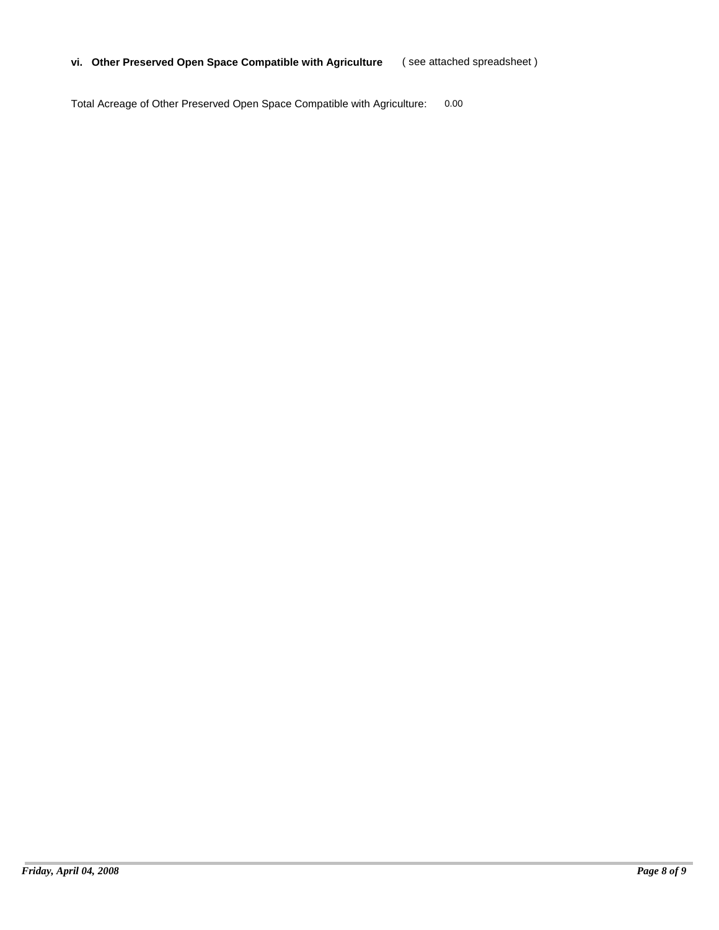#### **vi. Other Preserved Open Space Compatible with Agriculture** ( see attached spreadsheet )

Total Acreage of Other Preserved Open Space Compatible with Agriculture: 0.00